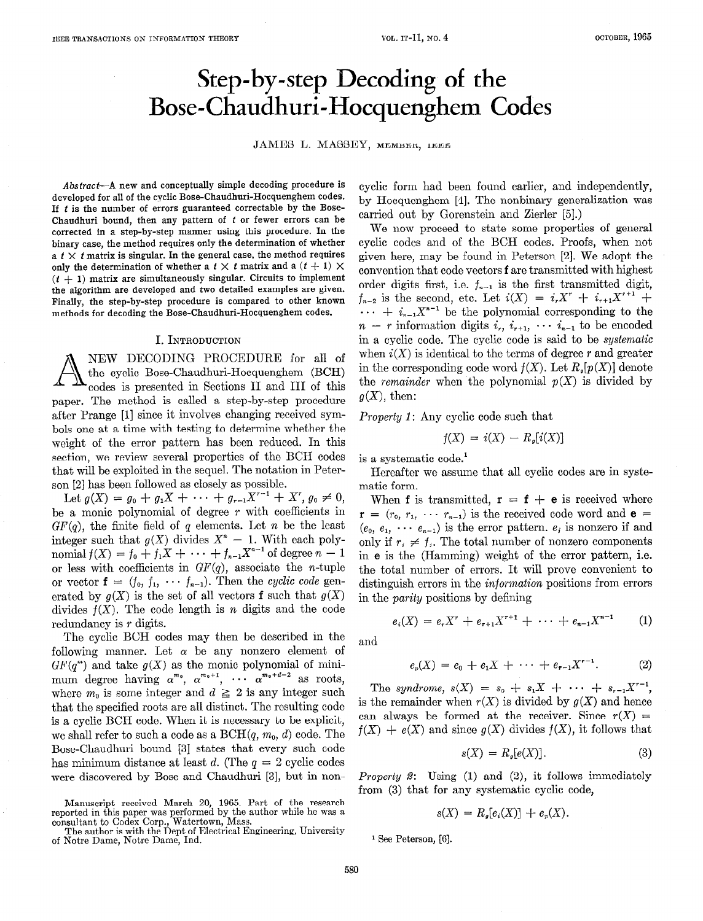# Step-by-step Decoding of the Bose-Chaudhuri-Hocquenghem Codes

JAMES L. MASSEY, MEMBER, IEEE

Abstract-A new and conceptually simple decoding procedure is developed for all of the cyclic Bose-Chaudhuri-Hocquenghem codes. If  $t$  is the number of errors guaranteed correctable by the Bose-Chaudhuri bound, then any pattern of  $t$  or fewer errors can be corrected in a step-by-step manner using this procedure. In the binary case, the method requires only the determination of whether a  $t \times t$  matrix is singular. In the general case, the method requires only the determination of whether a  $t \times t$  matrix and a  $(t + 1) \times$  $(t + 1)$  matrix are simultaneously singular. Circuits to implement the algorithm are developed and two detailed examples are given. Finally, the step-by-step procedure is compared to other known methods for decoding the Bose-Chaudhuri-Hocquenghem codes.

#### I. INTRODUCTION

A NEW DECODING PROCEDURE for all of the cyclic Bose-Chaudhuri-Hocquenghem (BCH) codes is presented in Sections II and III of this paper. The method is called a step-by-step procedure after Prange [l] since it involves changing received symbols one at a time with testing to determine whether the weight of the error pattern has been reduced. In this section, we review several properties of the BCH codes that will be exploited in the sequel. The notation in Peterson [2] has been followed as closely as possible.

Let  $g(X) = g_0 + g_1 X + \cdots + g_{r-1} X^{r-1} + X^r, g_0 \neq 0,$ be a monic polynomial of degree  $r$  with coefficients in  $GF(q)$ , the finite field of q elements. Let n be the least integer such that  $g(X)$  divides  $X^* - 1$ . With each poly nomial  $f(X) = f_0 + f_1X + \cdots + f_{n-1}X^{\dagger}$  for degree  $n-1$ or less with coefficients in  $GF(q)$ , associate the *n*-tuple or vector  $f = (f_0, f_1, \cdots, f_{n-1})$ . Then the cyclic code generated by  $g(X)$  is the set of all vectors **f** such that  $g(X)$ divides  $f(X)$ . The code length is n digits and the code redundancy is r digits.

The cyclic BCH codes may then be described in the following manner. Let  $\alpha$  be any nonzero element of  $GF(q^m)$  and take  $g(X)$  as the monic polynomial of minimum degree having  $\alpha^{m_0}, \alpha^{m_0+1}, \cdots \alpha^{m_0+n-2}$  as roots, where  $m_0$  is some integer and  $d \geq 2$  is any integer such that the specified roots are all distinct. The resulting code is a cyclic BCH code. When it is necessary to be explicit, we shall refer to such a code as a  $BCH(q, m_0, d)$  code. The Bose-Chaudhuri bound [3] states that every such code has minimum distance at least d. (The  $q = 2$  cyclic codes were discovered by Bose and Chaudhuri [3], but in noncyclic form had been found earlier, and independently, by Hocquenghem [4]. The nonbinary generalization was carried out by Gorenstein and Zierler [5].)

We now proceed to state some properties of general cyclic codes and of the BCH codes. Proofs, when not given here, may be found in Peterson [2]. We adopt the convention that code vectors fare transmitted with highest order digits first, i.e.  $f_{n-1}$  is the first transmitted digit,  $f_{n-2}$  is the second, etc. Let  $i(X) = i_r X^r + i_{r+1}X^{r+1} +$  $\cdots$  +  $i_{n-1}X^{n-1}$  be the polynomial corresponding to the  $n - r$  information digits  $i_r$ ,  $i_{r+1}$ ,  $\cdots$   $i_{n-1}$  to be encoded in a cyclic code. The cyclic code is said to be systematic when  $i(X)$  is identical to the terms of degree r and greater in the corresponding code word  $f(X)$ . Let  $R_{\rho}[p(X)]$  denote the remainder when the polynomial  $p(X)$  is divided by  $g(X)$ , then:

Property 1: Any cyclic code such that

$$
f(X) = i(X) - R_{\mathfrak{s}}[i(X)]
$$

is a systematic code.'

Hereafter we assume that all cyclic codes are in systematic form.

When f is transmitted,  $r = f + e$  is received where  $\mathbf{r} = (r_0, r_1, \cdots r_{n-1})$  is the received code word and  $\mathbf{e} =$  $(e_0, e_1, \cdots e_{n-1})$  is the error pattern.  $e_i$  is nonzero if and only if  $r_i \neq f_i$ . The total number of nonzero components in e is the (Hamming) weight of the error pattern, i.e. the total number of errors. It will prove convenient to distinguish errors in the *information* positions from errors in the parity positions by defining

$$
e_i(X) = e_r X^r + e_{r+1} X^{r+1} + \cdots + e_{n-1} X^{n-1} \qquad (1)
$$

and

$$
e_p(X) = e_0 + e_1 X + \cdots + e_{r-1} X^{r-1}.
$$
 (2)

The syndrome,  $s(X) = s_0 + s_1X + \cdots + s_{r-1}X^{r-1}$ , is the remainder when  $r(X)$  is divided by  $g(X)$  and hence can always be formed at the receiver. Since  $r(X) =$  $f(X) + e(X)$  and since  $g(X)$  divides  $f(X)$ , it follows that

$$
s(X) = R_{\mathfrak{s}}[e(X)]. \tag{3}
$$

Property 2: Using (1) and (2), it follows immediately from (3) that for any systematic cyclic code,

$$
s(X) = Rg[ei(X)] + ep(X).
$$

<sup>1</sup> See Peterson, [6].

Manuscript received March 20, 1965. Part of the research reported in this paper was performed by the author while he was a consultant to Codex Corp., Watertown, Mass. The author is with the Dept of Electrical Engineering, University

of Notre Dame, Notre Dame, Ind.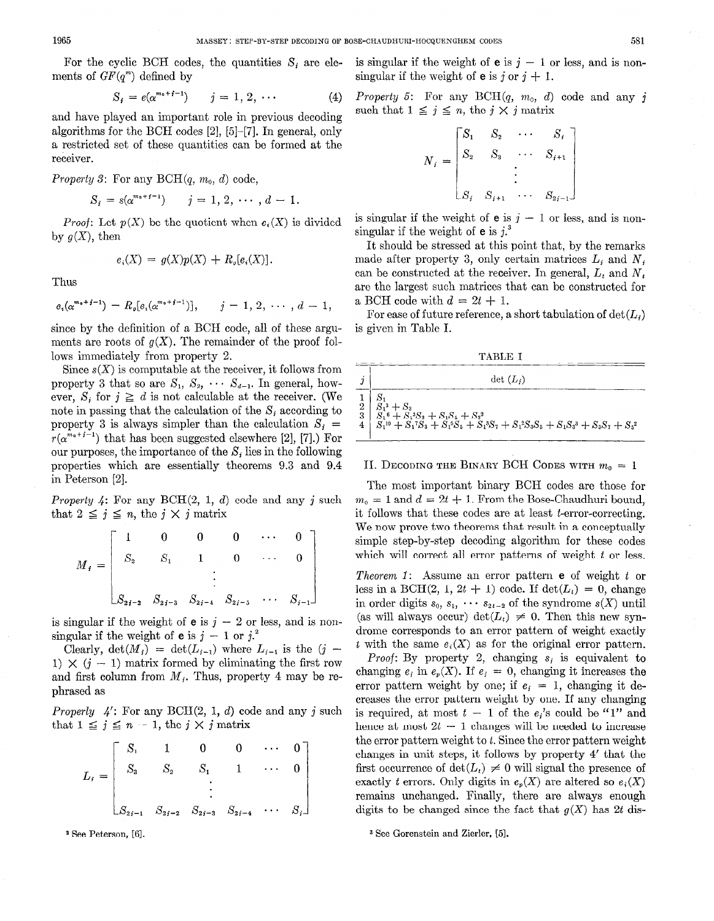ments of  $GF(q^m)$  defined by singular if the weight of **e** is j or  $j + 1$ .

$$
S_i = e(\alpha^{m_0 + r - 1}) \qquad j = 1, 2, \cdots \tag{4}
$$

and have played an important role in previous decoding such that  $1 \leq j \leq n$ , the  $j \times j$  matrix algorithms for the BCH codes  $[2]$ ,  $[5]$ - $[7]$ . In general, only a restricted set of these quantities can be formed at the receiver.

*Property 3:* For any  $BCH(q, m_0, d)$  code,

$$
S_i = s(\alpha^{m_0+j-1}) \qquad j=1, 2, \cdots, d-1.
$$

*Proof:* Let  $p(X)$  be the quotient when  $e_i(X)$  is divided by  $g(X)$ , then

$$
e_i(X) = g(X)p(X) + R_i[e_i(X)].
$$

Thus

$$
e_i(\alpha^{m_0+j-1}) = R_p[e_i(\alpha^{m_0+j-1})], \quad j = 1, 2, \cdots, d-1,
$$

since by the definition of a BCH code, all of these arguments are roots of  $g(X)$ . The remainder of the proof follows immediately from property 2.

Since  $s(X)$  is computable at the receiver, it follows from property 3 that so are  $S_1$ ,  $S_2$ ,  $\cdots$   $S_{d-1}$ . In general, however,  $S_i$  for  $j \geq d$  is not calculable at the receiver. (We note in passing that the calculation of the  $S_i$  according to property 3 is always simpler than the calculation  $S_i$  =  $r(\alpha^{m_0+j-1})$  that has been suggested elsewhere [2], [7].) For our purposes, the importance of the  $S_i$  lies in the following properties which are essentially theorems 9.3 and 9.4 in Peterson [2].

*Property 4:* For any  $BCH(2, 1, d)$  code and any j such that  $2 \leq j \leq n$ , the  $j \times j$  matrix

$$
M_{i} = \begin{bmatrix} 1 & 0 & 0 & 0 & \cdots & 0 \\ S_{2} & S_{1} & 1 & 0 & \cdots & 0 \\ \vdots & \vdots & \ddots & \vdots & \vdots \\ S_{2i-2} & S_{2i-3} & S_{2i-4} & S_{2i-5} & \cdots & S_{i-1} \end{bmatrix}
$$

is singular if the weight of **e** is  $j - 2$  or less, and is nonsingular if the weight of **e** is  $j - 1$  or  $j^2$ .

Clearly,  $\det(M_i) = \det(L_{i-1})$  where  $L_{i-1}$  is the  $(j -$ 1)  $\times$  (j - 1) matrix formed by eliminating the first row and first column from  $M_i$ . Thus, property 4 may be rephrased as

*Properly*  $4'$ : For any BCH $(2, 1, d)$  code and any j such that  $1 \leq j \leq n - 1$ , the  $j \times j$  matrix

$$
L_{i} = \begin{bmatrix} S_{1} & 1 & 0 & 0 & \cdots & 0 \\ S_{3} & S_{2} & S_{1} & 1 & \cdots & 0 \\ & & \vdots & & \\ S_{2i-1} & S_{2i-2} & S_{2i-3} & S_{2i-4} & \cdots & S_{i} \end{bmatrix}
$$

For the cyclic BCH codes, the quantities  $S_i$  are ele- is singular if the weight of **e** is  $j - 1$  or less, and is non-

Property 5: For any  $BCH(q, m_0, d)$  code and any j

$$
N_{i} = \begin{bmatrix} S_{1} & S_{2} & \cdots & S_{i} \\ S_{2} & S_{3} & \cdots & S_{i+1} \\ \vdots & \vdots & \ddots & \vdots \\ S_{i} & S_{i+1} & \cdots & S_{2i-1} \end{bmatrix}
$$

is singular if the weight of **e** is  $j - 1$  or less, and is nonsingular if the weight of  $e$  is j.

It should be stressed at this point that, by the remarks made after property 3, only certain matrices  $L_i$  and  $N_j$ can be constructed at the receiver. In general,  $L_t$  and  $N_t$ are the largest such matrices that can be constructed for a BCH code with  $d = 2t + 1$ .

For ease of future reference, a short tabulation of  $det(L_i)$ is given in Table I.

TABLE I

| $\det(L_i)$                                                                                                                                                                                                                                                                                                                                                             |
|-------------------------------------------------------------------------------------------------------------------------------------------------------------------------------------------------------------------------------------------------------------------------------------------------------------------------------------------------------------------------|
| $2   S_1^3 + S_3  $<br>$3 \tilde{S}_1^6+\tilde{S}_1^3S_3+S_1S_5+S_3^2$<br>$\overline{A}$ $\overline{S}_1^{10} + \overline{S}_1^{17} \overline{S}_3 + \overline{S}_1^{5} \overline{S}_5 + \overline{S}_1^{3} \overline{S}_7 + \overline{S}_1^{2} \overline{S}_3 \overline{S}_5 + \overline{S}_1 \overline{S}_3^{3} + \overline{S}_3 \overline{S}_7 + \overline{S}_5^{2}$ |

## II. DECODING THE BINARY BCH CODES WITH  $m_0 = 1$

The most important binary BCH codes are those for  $m_0 = 1$  and  $d = 2t + 1$ . From the Bose-Chaudhuri bound, it follows that these codes are at least t-error-correcting. We now prove two theorems that result in a conceptually simple step-by-step decoding algorithm for these codes which will correct all error patterns of weight t or less.

Theorem 1: Assume an error pattern **e** of weight t or less in a BCH(2, 1, 2t + 1) code. If  $\det(L_i) = 0$ , change in order digits  $s_0, s_1, \cdots s_{2t-2}$  of the syndrome  $s(X)$  until (as will always occur)  $\det(L_i) \neq 0$ . Then this new syndrome corresponds to an error pattern of weight exactly t with the same  $e_i(X)$  as for the original error pattern.

*Proof*: By property 2, changing  $s_i$  is equivalent to changing  $e_i$  in  $e_n(X)$ . If  $e_i = 0$ , changing it increases the error pattern weight by one; if  $e_i = 1$ , changing it decreases the error pattern weight by one. If any changing is required, at most  $t - 1$  of the  $e_i$ 's could be "1" and hence at most  $2t - 1$  changes will be needed to increase the error pattern weight to  $t$ . Since the error pattern weight changes in unit steps, it follows by property 4' that the first occurrence of  $\det(L_t) \neq 0$  will signal the presence of exactly t errors. Only digits in  $e_p(X)$  are altered so  $e_i(X)$ remains unchanged. Finally, there are always enough digits to be changed since the fact that  $g(X)$  has 2t dis-

\* See Peterson, [6]. 3 See Gorenstein and Zierler, [5].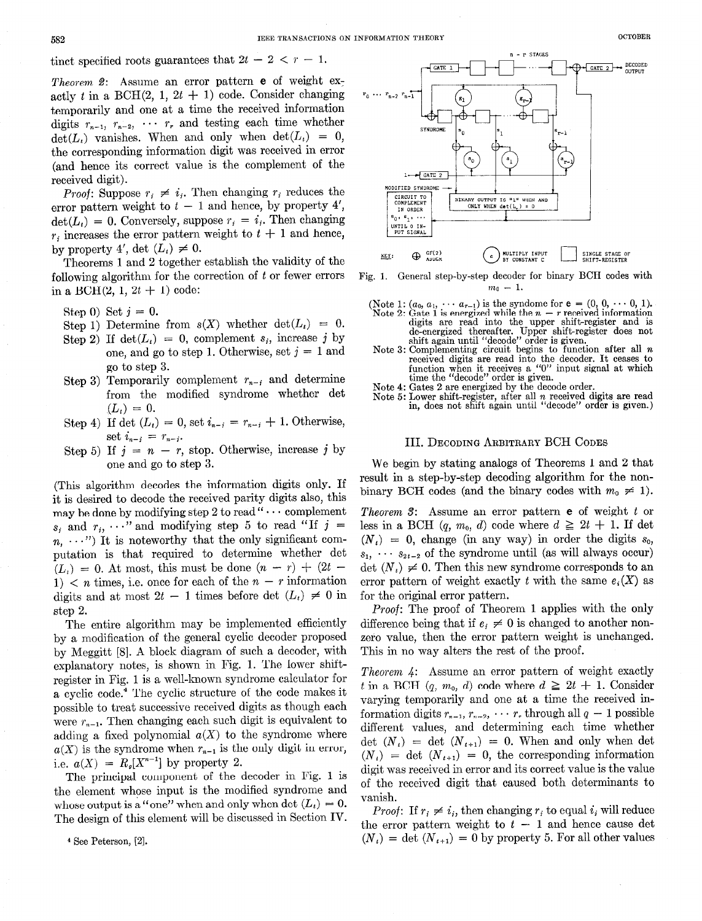tinct specified roots guarantees that  $2t - 2 < r - 1$ .

*Theorem 2:* Assume an error pattern **e** of weight  $ex$ actly t in a BCH $(2, 1, 2t + 1)$  code. Consider changing temporarily and one at a time the received information digits  $r_{n-1}$ ,  $r_{n-2}$ ,  $\cdots$   $r_{r}$  and testing each time whether  $\det(L_i)$  vanishes. When and only when  $\det(L_i) = 0$ , the corresponding information digit was received in error (and hence its correct value is the complement of the received digit).

*Proof:* Suppose  $r_i \neq i_i$ . Then changing  $r_i$  reduces the error pattern weight to  $t - 1$  and hence, by property 4',  $\det(L_i) = 0$ . Conversely, suppose  $r_i = i_i$ . Then changing  $r_i$  increases the error pattern weight to  $t + 1$  and hence, by property 4', det  $(L_i) \neq 0$ .

Theorems 1 and 2 together establish the validity of the following algorithm for the correction of  $t$  or fewer errors in a BCH $(2, 1, 2t + 1)$  code:

Step 0) Set  $j = 0$ .

- Step 1) Determine from  $s(X)$  whether  $\det(L_i) = 0$ .
- Step 2) If  $\det(L_i) = 0$ , complement  $s_i$ , increase j by one, and go to step 1. Otherwise, set  $j = 1$  and go to step 3.
- Step 3) Temporarily complement  $r_{n-i}$  and determine from the modified syndrome whether det  $(L_i) = 0.$
- Step 4) If det  $(L_i) = 0$ , set  $i_{n-i} = r_{n-i} + 1$ . Otherwise, set  $i_{n-i} = r_{n-i}$ .
- Step 5) If  $j = n r$ , stop. Otherwise, increase j by one and go to step 3.

(This algorithm decodes the information digits only. If it is desired to decode the received parity digits also, this may be done by modifying step 2 to read " $\cdots$  complement  $s_i$  and  $r_i$ ,  $\cdots$  and modifying step 5 to read "If  $j =$  $n, \ldots$ ") It is noteworthy that the only significant computation is that required to determine whether det  $(L_t) = 0$ . At most, this must be done  $(n - r) + (2t -$ 1)  $\lt n$  times, i.e. once for each of the  $n - r$  information digits and at most  $2t - 1$  times before det  $(L_t) \neq 0$  in step 2.

The entire algorithm may be implemented efficiently by a modification of the general cyclic decoder proposed by Meggitt [8]. A block diagram of such a decoder, with explanatory notes, is shown in Fig. 1. The lower shiftregister in Fig. 1 is a well-known syndrome calculator for a cyclic code.4 The cyclic structure of the code makes it possible to treat successive received digits as though each were  $r_{n-1}$ . Then changing each such digit is equivalent to adding a fixed polynomial  $a(X)$  to the syndrome where  $a(X)$  is the syndrome when  $r_{n-1}$  is the only digit in error, i.e.  $a(X) = R_q[X^{n-1}]$  by property 2.

The principal component of the decoder in Fig. 1 is the element whose input is the modified syndrome and whose output is a "one" when and only when det  $(L_t) = 0$ . The design of this element will be discussed in Section IV.

4 See Peterson, [2].



Fig. 1. General step-by-step decoder for binary BCH codes with  $m_0 = 1.$ 

- (Note 1:  $(a_0, a_1, \dots, a_{r-1})$  is the syndome for  $e = (0, 0, \dots, 0, 1)$ .<br>Note 2: Gate 1 is energized while the  $n r$  received information digits are read into the upper shift-register and is de-energized thereafter. Upper shift-register does not shift again until "decode" order is given.
- Note 3: Complementing circuit begins to function after all  $n$ received digits are read into the decoder. It ceases to function when it receives a "0" input signal at which time the "decode" order is given.
- Note 4: Gates 2 are energized by the decode order.
- Note 5: Lower shift-register, after all n received digits are read in, does not shift again until "decode" order is given.)

#### III. DECODING ARBITRARY BCH CODES

We begin by stating analogs of Theorems 1 and 2 that result in a step-by-step decoding algorithm for the nonbinary BCH codes (and the binary codes with  $m_0 \neq 1$ ).

Theorem  $\mathcal{S}$ : Assume an error pattern  $e$  of weight  $t$  or less in a BCH  $(q, m_0, d)$  code where  $d \geq 2t + 1$ . If det  $(N<sub>t</sub>) = 0$ , change (in any way) in order the digits  $s<sub>0</sub>$ ,  $s_1, \cdots, s_{2t-2}$  of the syndrome until (as will always occur)  $\det(N_i) \neq 0$ . Then this new syndrome corresponds to an error pattern of weight exactly t with the same  $e_i(X)$  as for the original error pattern.

Proof: The proof of Theorem 1 applies with the only difference being that if  $e_i \neq 0$  is changed to another nonzero value, then the error pattern weight is unchanged. This in no way alters the rest of the proof.

Theorem 4: Assume an error pattern of weight exactly t in a BCH  $(q, m_0, d)$  code where  $d \geq 2t + 1$ . Consider varying temporarily and one at a time the received information digits  $r_{n-1}, r_{n-2}, \cdots r$ , through all  $q-1$  possible different values, and determining each time whether det  $(N_i)$  = det  $(N_{i+1})$  = 0. When and only when det  $(N_t) = \det (N_{t+1}) = 0$ , the corresponding information digit was received in error and its correct value is the value of the received digit that caused both determinants to vanish.

*Proof*: If  $r_i \neq i_j$ , then changing  $r_i$  to equal  $i_j$  will reduce the error pattern weight to  $t - 1$  and hence cause det  $(N_t) = \det (N_{t+1}) = 0$  by property 5. For all other values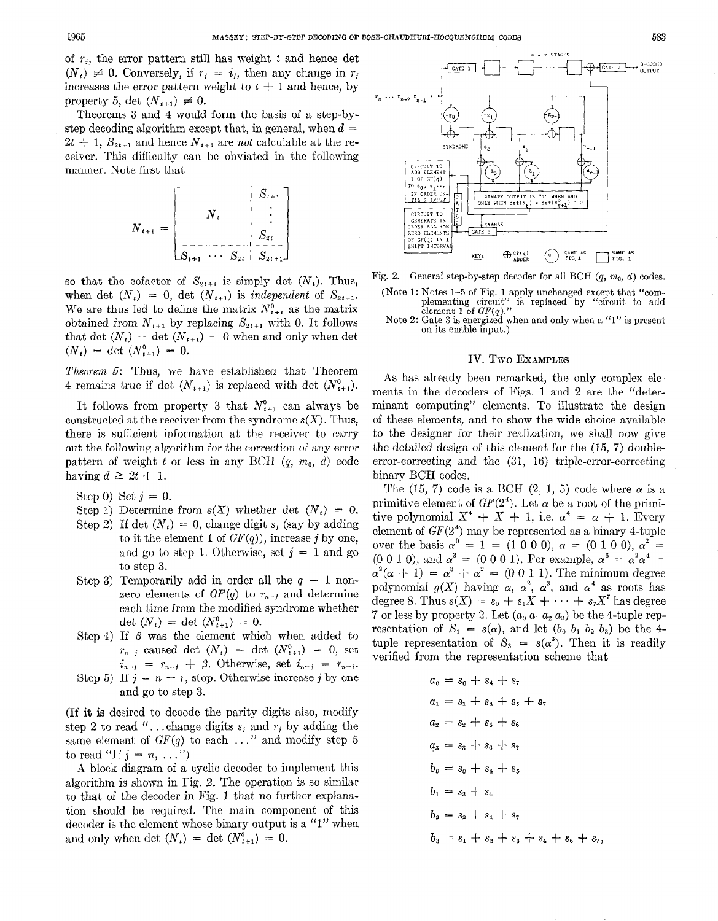of  $r_i$ , the error pattern still has weight t and hence det  $(N_i) \neq 0$ . Conversely, if  $r_i = i_i$ , then any change in  $r_i$ increases the error pattern weight to  $t + 1$  and hence, by property 5, det  $(N_{t+1}) \neq 0$ .

Theorems 3 and 4 would form the basis of a step-bystep decoding algorithm except that, in general, when  $d =$  $2t + 1$ ,  $S_{2t+1}$  and hence  $N_{t+1}$  are not calculable at the receiver. This difficulty can be obviated in the following manner. Note first that



so that the cofactor of  $S_{2i+1}$  is simply det  $(N_i)$ . Thus, when det  $(N_t) = 0$ , det  $(N_{t+1})$  is independent of  $S_{2t+1}$ . We are thus led to define the matrix  $N_{i+1}^0$  as the matrix obtained from  $N_{t+1}$  by replacing  $S_{2t+1}$  with 0. It follows that det  $(N_t) = \det (N_{t+1}) = 0$  when and only when det  $(N_t) = \det (N_{t+1}^0) = 0.$ 

Theorem 5: Thus, we have established that Theorem 4 remains true if det  $(N_{t+1})$  is replaced with det  $(N_{t+1}^0)$ .

It follows from property 3 that  $N_{t+1}^0$  can always be constructed at the receiver from the syndrome  $s(X)$ . Thus, there is sufficient information at the receiver to carry out the following algorithm for the correction of any error pattern of weight t or less in any BCH  $(q, m_0, d)$  code having  $d \geq 2t + 1$ .

Step 0) Set  $j = 0$ .

- Step 1) Determine from  $s(X)$  whether det  $(N_i) = 0$ .
- Step 2) If det  $(N_t) = 0$ , change digit s<sub>i</sub> (say by adding to it the element 1 of  $GF(q)$ ), increase j by one, and go to step 1. Otherwise, set  $j = 1$  and go to step 3.
- Step 3) Temporarily add in order all the  $q 1$  nonzero elements of  $GF(q)$  to  $r_{n-i}$  and determine each time from the modified syndrome whether det  $(N_t) = \det (N_{t+1}^0) = 0.$
- Step 4) If  $\beta$  was the element which when added to  $r_{n-i}$  caused det  $(N_t) = \det (N_{t+1}^0) = 0$ , set  $i_{n-j}$  =  $r_{n-j}$  +  $\beta$ . Otherwise, set  $i_{n-j}$  =  $r_{n-j}$ .
- Step 5) If  $j = n r$ , stop. Otherwise increase j by one and go to step 3.

(If it is desired to decode the parity digits also, modify step 2 to read "...change digits  $s_i$  and  $r_j$  by adding the same element of  $GF(q)$  to each ..." and modify step 5 to read "If  $j = n, \ldots$ ")

A block diagram of a cyclic decoder to implement this algorithm is shown in Fig. 2. The operation is so similar to that of the decoder in Fig. 1 that no further explanation should be required. The main component of this decoder is the element whose binary output is a "1" when and only when det  $(N_t) = \det (N_{t+1}^0) = 0$ .



Fig. 2. General step-by-step decoder for all BCH  $(q, m_0, d)$  codes.

- (Note 1: Notes 1-5 of Fig. 1 apply unchanged except that "com-<br>plementing circuit" is replaced by "circuit to add<br>element 1 of  $GF(q)$ ."
- Note 2: Gate 3 is energized when and only when a "1" is present on its enable input.)

### IV.Two EXAMPLES

As has already been remarked, the only complex elements in the decoders of Figs. 1 and 2 are the "determinant computing" elements. To illustrate the design of these elements, and to show the wide choice available to the designer for their realization, we shall now give the detailed design of this element for the (15, 7) doubleerror-correcting and the (31, 16) triple-error-correcting binary BCH codes.

The (15, 7) code is a BCH (2, 1, 5) code where  $\alpha$  is a primitive element of  $GF(2<sup>4</sup>)$ . Let  $\alpha$  be a root of the primitive polynomial  $X^4 + X + 1$ , i.e.  $\alpha^4 = \alpha + 1$ . Every element of  $GF(2<sup>4</sup>)$  may be represented as a binary 4-tuple over the basis  $\alpha^{0} = 1 = (1 \ 0 \ 0 \ 0), \alpha = (0 \ 1 \ 0 \ 0), \alpha^{2} =$ (0 0 1 0), and  $\alpha^3 = (0 \ 0 \ 0 \ 1)$ . For example,  $\alpha^6 = \alpha^2 \alpha^4 =$  $\alpha^2(\alpha + 1) = \alpha^3 + \alpha^2 = (0 \ 0 \ 1 \ 1)$ . The minimum degree polynomial  $g(X)$  having  $\alpha$ ,  $\alpha^2$ ,  $\alpha^3$ , and  $\alpha^4$  as roots has degree 8. Thus  $s(X) = s_0 + s_1X + \cdots + s_7X^7$  has degree 7 or less by property 2. Let  $(a_0, a_1, a_2, a_3)$  be the 4-tuple representation of  $S_1 = s(\alpha)$ , and let  $(b_0, b_1, b_2, b_3)$  be the 4tuple representation of  $S_3 = s(\alpha^3)$ . Then it is readily verified from the representation scheme that

$$
a_0 = s_0 + s_4 + s_7
$$
  
\n
$$
a_1 = s_1 + s_4 + s_5 + s_7
$$
  
\n
$$
a_2 = s_2 + s_5 + s_6
$$
  
\n
$$
a_3 = s_3 + s_6 + s_7
$$
  
\n
$$
b_0 = s_0 + s_4 + s_5
$$
  
\n
$$
b_1 = s_3 + s_4
$$
  
\n
$$
b_2 = s_2 + s_4 + s_7
$$
  
\n
$$
b_3 = s_1 + s_2 + s_3 + s_4 + s_6 + s_7
$$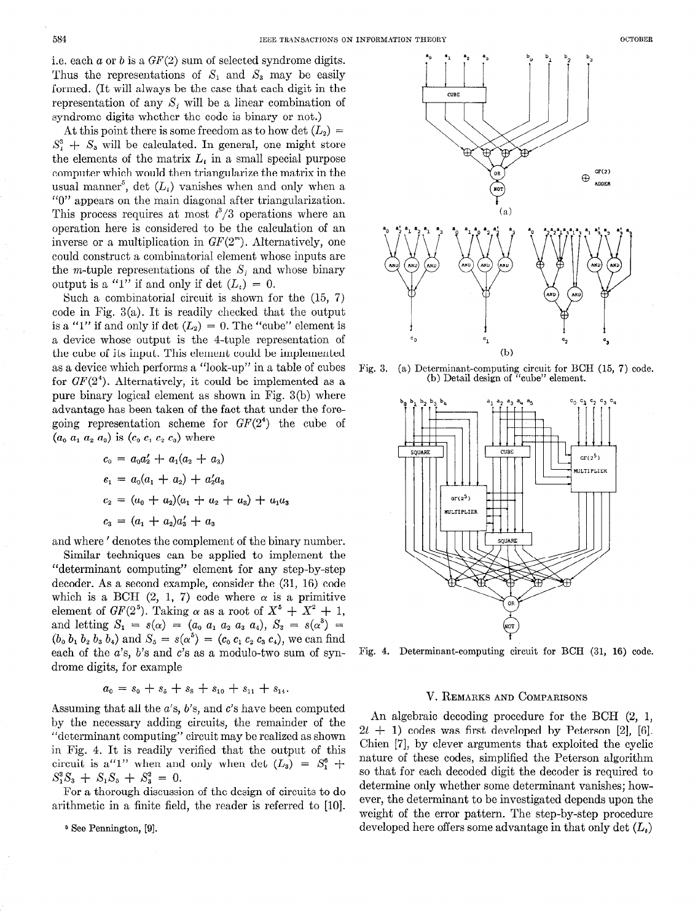i.e. each  $a$  or  $b$  is a  $GF(2)$  sum of selected syndrome digits. Thus the representations of  $S_1$  and  $S_3$  may be easily formed. (It will always be the case that each digit in the representation of any  $S_i$  will be a linear combination of syndrome digits whether the code is binary or not.)

At this point there is some freedom as to how det  $(L_2)$  =  $S_1^3 + S_3$  will be calculated. In general, one might store the elements of the matrix  $L_i$  in a small special purpose computer which would then triangularize the matrix in the usual manner<sup>5</sup>, det  $(L<sub>t</sub>)$  vanishes when and only when a "0" appears on the main diagonal after triangularization. This process requires at most  $t^3/3$  operations where an operation here is considered to be the calculation of an inverse or a multiplication in  $GF(2<sup>m</sup>)$ . Alternatively, one could construct a combinatorial element whose inputs are the *m*-tuple representations of the  $S_i$  and whose binary output is a "1" if and only if det  $(L_t) = 0$ .

Such a combinatorial circuit is shown for the (15, 7) code in Fig. 3(a). It is readily checked that the output is a "1" if and only if det  $(L_2) = 0$ . The "cube" element is a device whose output is the 4-tuple representation of the cube of its input. This element could be implemented as a device which performs a "look-up" in a table of cubes for  $GF(2<sup>4</sup>)$ . Alternatively, it could be implemented as a pure binary logical element as shown in Fig. 3(b) where advantage has been taken of the fact that under the foregoing representation scheme for  $GF(2^4)$  the cube of  $(a_0 a_1 a_2 a_3)$  is  $(c_0 c_1 c_2 c_3)$  where

$$
c_0 = a_0 a'_2 + a_1 (a_2 + a_3)
$$
  
\n
$$
c_1 = a_0 (a_1 + a_2) + a'_2 a_3
$$
  
\n
$$
c_2 = (a_0 + a_2)(a_1 + a_2 + a_3) + a_1 a_3
$$
  
\n
$$
c_3 = (a_1 + a_2) a'_3 + a_3
$$

and where ' denotes the complement of the binary number. Similar techniques can be applied to implement the "determinant computing" element for any step-by-step decoder. As a second example, consider the (31, 16) code which is a BCH  $(2, 1, 7)$  code where  $\alpha$  is a primitive element of  $GF(2^5)$ . Taking  $\alpha$  as a root of  $X^5 + X^2 + 1$ , and letting  $S_1 = s(\alpha) = (a_0, a_1, a_2, a_3, a_4), S_3 = s(\alpha^3) =$  $(b_0, b_1, b_2, b_3, b_4)$  and  $S_5 = s(\alpha^5) = (c_0, c_1, c_2, c_3, c_4)$ , we can find each of the  $a$ 's,  $b$ 's and  $c$ 's as a modulo-two sum of syndrome digits, for example

$$
a_0 = s_0 + s_5 + s_8 + s_{10} + s_{11} + s_{14}.
$$

Assuming that all the  $a$ 's,  $b$ 's, and  $c$ 's have been computed by the necessary adding circuits, the remainder of the "determinant computing" circuit may be realized as shown in Fig. 4. It is readily verified that the output of this circuit is a"1" when and only when det  $(L_3) = S_1^6$  +  $S_1^3S_3 + S_1S_5 + S_3^2 = 0.$ 

For a thorough discussion of the design of circuits to do arithmetic in a finite field, the reader is referred to [10].

6 See Pennington, [9].

 $(b)$ Fig. 3. (a) Determinant-computing circuit for BCH (15, 7) code. (b) Detail design of "cube" element.

 $c_2$ ,  $c_0$  $c_{n}$ CUBE SOUARE  $GF(2^5)$ **ULTIPLIER**  $gr(2^5)$ **MULTIPLIER** SQUARI

Fig. 4. Determinant-computing circuit for BCH (31, 16) code.

#### V. REMARKS AND COMPARISONS

An algebraic decoding procedure for the BCH (2, 1,  $2t + 1$ ) codes was first developed by Peterson [2], [6]. Chien [7], by clever arguments that exploited the cyclic nature of these codes, simplified the Peterson algorithm so that for each decoded digit the decoder is required to determine only whether some determinant vanishes; however, the determinant to be investigated depends upon the weight of the error pattern. The step-by-step procedure developed here offers some advantage in that only det  $(L<sub>t</sub>)$